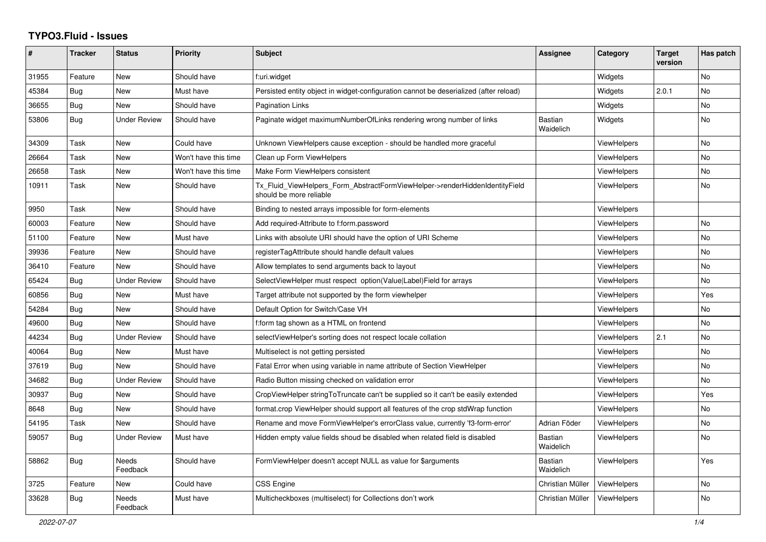## **TYPO3.Fluid - Issues**

| #     | <b>Tracker</b> | <b>Status</b>     | <b>Priority</b>      | <b>Subject</b>                                                                                         | Assignee                    | Category           | <b>Target</b><br>version | Has patch |
|-------|----------------|-------------------|----------------------|--------------------------------------------------------------------------------------------------------|-----------------------------|--------------------|--------------------------|-----------|
| 31955 | Feature        | New               | Should have          | f:uri.widget                                                                                           |                             | Widgets            |                          | No        |
| 45384 | Bug            | New               | Must have            | Persisted entity object in widget-configuration cannot be deserialized (after reload)                  |                             | Widgets            | 2.0.1                    | No        |
| 36655 | Bug            | New               | Should have          | <b>Pagination Links</b>                                                                                |                             | Widgets            |                          | No        |
| 53806 | Bug            | Under Review      | Should have          | Paginate widget maximumNumberOfLinks rendering wrong number of links                                   | <b>Bastian</b><br>Waidelich | Widgets            |                          | No        |
| 34309 | Task           | <b>New</b>        | Could have           | Unknown ViewHelpers cause exception - should be handled more graceful                                  |                             | <b>ViewHelpers</b> |                          | No        |
| 26664 | Task           | New               | Won't have this time | Clean up Form ViewHelpers                                                                              |                             | <b>ViewHelpers</b> |                          | <b>No</b> |
| 26658 | Task           | New               | Won't have this time | Make Form ViewHelpers consistent                                                                       |                             | <b>ViewHelpers</b> |                          | <b>No</b> |
| 10911 | Task           | New               | Should have          | Tx_Fluid_ViewHelpers_Form_AbstractFormViewHelper->renderHiddenIdentityField<br>should be more reliable |                             | ViewHelpers        |                          | No        |
| 9950  | Task           | New               | Should have          | Binding to nested arrays impossible for form-elements                                                  |                             | <b>ViewHelpers</b> |                          |           |
| 60003 | Feature        | New               | Should have          | Add required-Attribute to f:form.password                                                              |                             | <b>ViewHelpers</b> |                          | No        |
| 51100 | Feature        | New               | Must have            | Links with absolute URI should have the option of URI Scheme                                           |                             | ViewHelpers        |                          | No        |
| 39936 | Feature        | New               | Should have          | registerTagAttribute should handle default values                                                      |                             | <b>ViewHelpers</b> |                          | No        |
| 36410 | Feature        | New               | Should have          | Allow templates to send arguments back to layout                                                       |                             | ViewHelpers        |                          | No        |
| 65424 | Bug            | Under Review      | Should have          | SelectViewHelper must respect option(Value Label)Field for arrays                                      |                             | <b>ViewHelpers</b> |                          | No        |
| 60856 | Bug            | New               | Must have            | Target attribute not supported by the form viewhelper                                                  |                             | <b>ViewHelpers</b> |                          | Yes       |
| 54284 | Bug            | New               | Should have          | Default Option for Switch/Case VH                                                                      |                             | <b>ViewHelpers</b> |                          | No        |
| 49600 | <b>Bug</b>     | <b>New</b>        | Should have          | f:form tag shown as a HTML on frontend                                                                 |                             | ViewHelpers        |                          | No        |
| 44234 | Bug            | Under Review      | Should have          | selectViewHelper's sorting does not respect locale collation                                           |                             | ViewHelpers        | 2.1                      | No        |
| 40064 | Bug            | New               | Must have            | Multiselect is not getting persisted                                                                   |                             | <b>ViewHelpers</b> |                          | No        |
| 37619 | Bug            | New               | Should have          | Fatal Error when using variable in name attribute of Section ViewHelper                                |                             | <b>ViewHelpers</b> |                          | No        |
| 34682 | Bug            | Under Review      | Should have          | Radio Button missing checked on validation error                                                       |                             | ViewHelpers        |                          | No        |
| 30937 | <b>Bug</b>     | <b>New</b>        | Should have          | CropViewHelper stringToTruncate can't be supplied so it can't be easily extended                       |                             | ViewHelpers        |                          | Yes       |
| 8648  | Bug            | New               | Should have          | format.crop ViewHelper should support all features of the crop stdWrap function                        |                             | <b>ViewHelpers</b> |                          | No        |
| 54195 | Task           | New               | Should have          | Rename and move FormViewHelper's errorClass value, currently 'f3-form-error'                           | Adrian Föder                | ViewHelpers        |                          | No        |
| 59057 | Bug            | Under Review      | Must have            | Hidden empty value fields shoud be disabled when related field is disabled                             | <b>Bastian</b><br>Waidelich | <b>ViewHelpers</b> |                          | No        |
| 58862 | Bug            | Needs<br>Feedback | Should have          | FormViewHelper doesn't accept NULL as value for \$arguments                                            | <b>Bastian</b><br>Waidelich | ViewHelpers        |                          | Yes       |
| 3725  | Feature        | New               | Could have           | CSS Engine                                                                                             | Christian Müller            | ViewHelpers        |                          | <b>No</b> |
| 33628 | <b>Bug</b>     | Needs<br>Feedback | Must have            | Multicheckboxes (multiselect) for Collections don't work                                               | Christian Müller            | ViewHelpers        |                          | <b>No</b> |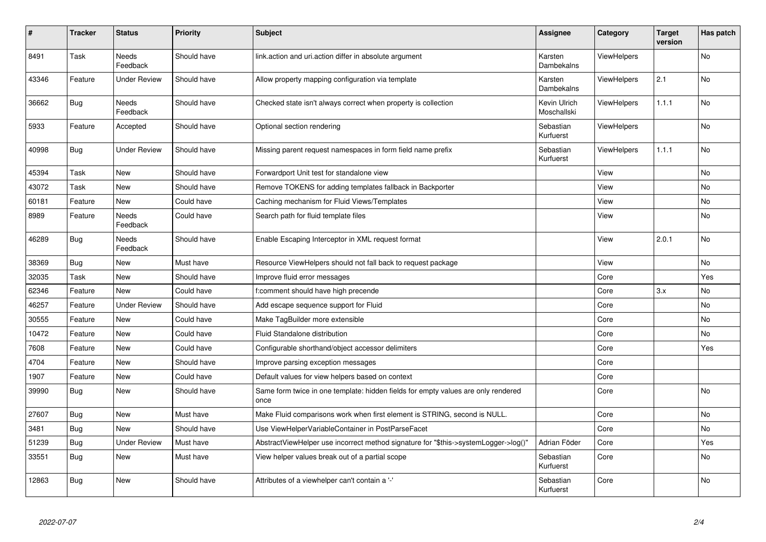| #     | <b>Tracker</b> | <b>Status</b>            | <b>Priority</b> | <b>Subject</b>                                                                            | Assignee                    | Category           | <b>Target</b><br>version | Has patch |
|-------|----------------|--------------------------|-----------------|-------------------------------------------------------------------------------------------|-----------------------------|--------------------|--------------------------|-----------|
| 8491  | Task           | <b>Needs</b><br>Feedback | Should have     | link.action and uri.action differ in absolute argument                                    | Karsten<br>Dambekalns       | <b>ViewHelpers</b> |                          | <b>No</b> |
| 43346 | Feature        | <b>Under Review</b>      | Should have     | Allow property mapping configuration via template                                         | Karsten<br>Dambekalns       | <b>ViewHelpers</b> | 2.1                      | <b>No</b> |
| 36662 | <b>Bug</b>     | Needs<br>Feedback        | Should have     | Checked state isn't always correct when property is collection                            | Kevin Ulrich<br>Moschallski | <b>ViewHelpers</b> | 1.1.1                    | <b>No</b> |
| 5933  | Feature        | Accepted                 | Should have     | Optional section rendering                                                                | Sebastian<br>Kurfuerst      | ViewHelpers        |                          | No        |
| 40998 | Bug            | <b>Under Review</b>      | Should have     | Missing parent request namespaces in form field name prefix                               | Sebastian<br>Kurfuerst      | <b>ViewHelpers</b> | 1.1.1                    | No        |
| 45394 | Task           | New                      | Should have     | Forwardport Unit test for standalone view                                                 |                             | View               |                          | <b>No</b> |
| 43072 | Task           | New                      | Should have     | Remove TOKENS for adding templates fallback in Backporter                                 |                             | View               |                          | No        |
| 60181 | Feature        | New                      | Could have      | Caching mechanism for Fluid Views/Templates                                               |                             | View               |                          | No        |
| 8989  | Feature        | Needs<br>Feedback        | Could have      | Search path for fluid template files                                                      |                             | View               |                          | No        |
| 46289 | Bug            | Needs<br>Feedback        | Should have     | Enable Escaping Interceptor in XML request format                                         |                             | View               | 2.0.1                    | <b>No</b> |
| 38369 | <b>Bug</b>     | New                      | Must have       | Resource ViewHelpers should not fall back to request package                              |                             | View               |                          | No        |
| 32035 | Task           | New                      | Should have     | Improve fluid error messages                                                              |                             | Core               |                          | Yes       |
| 62346 | Feature        | New                      | Could have      | f:comment should have high precende                                                       |                             | Core               | 3.x                      | No        |
| 46257 | Feature        | <b>Under Review</b>      | Should have     | Add escape sequence support for Fluid                                                     |                             | Core               |                          | No        |
| 30555 | Feature        | New                      | Could have      | Make TagBuilder more extensible                                                           |                             | Core               |                          | No        |
| 10472 | Feature        | New                      | Could have      | Fluid Standalone distribution                                                             |                             | Core               |                          | No        |
| 7608  | Feature        | New                      | Could have      | Configurable shorthand/object accessor delimiters                                         |                             | Core               |                          | Yes       |
| 4704  | Feature        | New                      | Should have     | Improve parsing exception messages                                                        |                             | Core               |                          |           |
| 1907  | Feature        | New                      | Could have      | Default values for view helpers based on context                                          |                             | Core               |                          |           |
| 39990 | Bug            | New                      | Should have     | Same form twice in one template: hidden fields for empty values are only rendered<br>once |                             | Core               |                          | <b>No</b> |
| 27607 | <b>Bug</b>     | <b>New</b>               | Must have       | Make Fluid comparisons work when first element is STRING, second is NULL.                 |                             | Core               |                          | <b>No</b> |
| 3481  | <b>Bug</b>     | New                      | Should have     | Use ViewHelperVariableContainer in PostParseFacet                                         |                             | Core               |                          | <b>No</b> |
| 51239 | <b>Bug</b>     | <b>Under Review</b>      | Must have       | AbstractViewHelper use incorrect method signature for "\$this->systemLogger->log()"       | Adrian Föder                | Core               |                          | Yes       |
| 33551 | Bug            | New                      | Must have       | View helper values break out of a partial scope                                           | Sebastian<br>Kurfuerst      | Core               |                          | No        |
| 12863 | Bug            | New                      | Should have     | Attributes of a viewhelper can't contain a '-'                                            | Sebastian<br>Kurfuerst      | Core               |                          | <b>No</b> |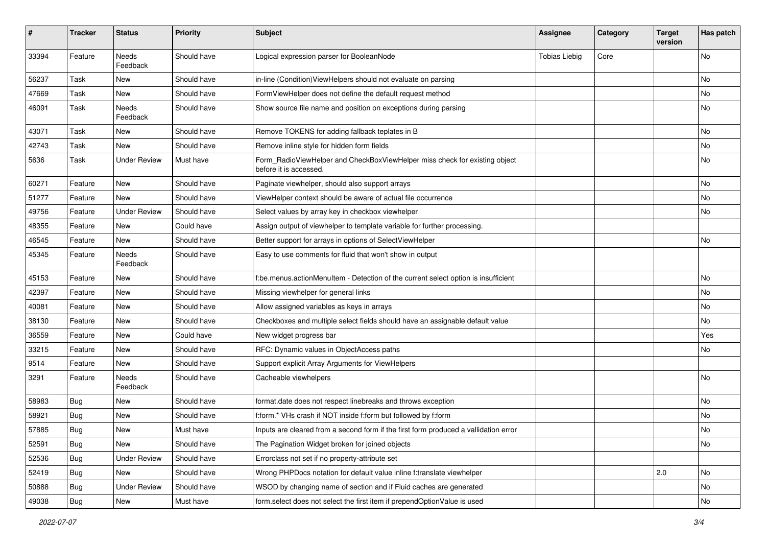| $\sharp$ | <b>Tracker</b> | <b>Status</b>       | <b>Priority</b> | Subject                                                                                              | <b>Assignee</b>      | Category | <b>Target</b><br>version | Has patch |
|----------|----------------|---------------------|-----------------|------------------------------------------------------------------------------------------------------|----------------------|----------|--------------------------|-----------|
| 33394    | Feature        | Needs<br>Feedback   | Should have     | Logical expression parser for BooleanNode                                                            | <b>Tobias Liebig</b> | Core     |                          | <b>No</b> |
| 56237    | Task           | New                 | Should have     | in-line (Condition) ViewHelpers should not evaluate on parsing                                       |                      |          |                          | No        |
| 47669    | Task           | New                 | Should have     | FormViewHelper does not define the default request method                                            |                      |          |                          | No        |
| 46091    | Task           | Needs<br>Feedback   | Should have     | Show source file name and position on exceptions during parsing                                      |                      |          |                          | No        |
| 43071    | Task           | New                 | Should have     | Remove TOKENS for adding fallback teplates in B                                                      |                      |          |                          | No        |
| 42743    | Task           | New                 | Should have     | Remove inline style for hidden form fields                                                           |                      |          |                          | No        |
| 5636     | Task           | <b>Under Review</b> | Must have       | Form_RadioViewHelper and CheckBoxViewHelper miss check for existing object<br>before it is accessed. |                      |          |                          | No        |
| 60271    | Feature        | New                 | Should have     | Paginate viewhelper, should also support arrays                                                      |                      |          |                          | No        |
| 51277    | Feature        | New                 | Should have     | ViewHelper context should be aware of actual file occurrence                                         |                      |          |                          | No        |
| 49756    | Feature        | <b>Under Review</b> | Should have     | Select values by array key in checkbox viewhelper                                                    |                      |          |                          | No        |
| 48355    | Feature        | <b>New</b>          | Could have      | Assign output of viewhelper to template variable for further processing.                             |                      |          |                          |           |
| 46545    | Feature        | New                 | Should have     | Better support for arrays in options of SelectViewHelper                                             |                      |          |                          | No        |
| 45345    | Feature        | Needs<br>Feedback   | Should have     | Easy to use comments for fluid that won't show in output                                             |                      |          |                          |           |
| 45153    | Feature        | New                 | Should have     | f:be.menus.actionMenuItem - Detection of the current select option is insufficient                   |                      |          |                          | No        |
| 42397    | Feature        | New                 | Should have     | Missing viewhelper for general links                                                                 |                      |          |                          | No        |
| 40081    | Feature        | New                 | Should have     | Allow assigned variables as keys in arrays                                                           |                      |          |                          | No        |
| 38130    | Feature        | New                 | Should have     | Checkboxes and multiple select fields should have an assignable default value                        |                      |          |                          | No        |
| 36559    | Feature        | New                 | Could have      | New widget progress bar                                                                              |                      |          |                          | Yes       |
| 33215    | Feature        | New                 | Should have     | RFC: Dynamic values in ObjectAccess paths                                                            |                      |          |                          | No        |
| 9514     | Feature        | New                 | Should have     | Support explicit Array Arguments for ViewHelpers                                                     |                      |          |                          |           |
| 3291     | Feature        | Needs<br>Feedback   | Should have     | Cacheable viewhelpers                                                                                |                      |          |                          | <b>No</b> |
| 58983    | Bug            | New                 | Should have     | format.date does not respect linebreaks and throws exception                                         |                      |          |                          | <b>No</b> |
| 58921    | <b>Bug</b>     | New                 | Should have     | f:form.* VHs crash if NOT inside f:form but followed by f:form                                       |                      |          |                          | No        |
| 57885    | <b>Bug</b>     | New                 | Must have       | Inputs are cleared from a second form if the first form produced a vallidation error                 |                      |          |                          | No        |
| 52591    | <b>Bug</b>     | New                 | Should have     | The Pagination Widget broken for joined objects                                                      |                      |          |                          | No        |
| 52536    | Bug            | <b>Under Review</b> | Should have     | Errorclass not set if no property-attribute set                                                      |                      |          |                          |           |
| 52419    | Bug            | New                 | Should have     | Wrong PHPDocs notation for default value inline f:translate viewhelper                               |                      |          | $\vert$ 2.0              | No        |
| 50888    | <b>Bug</b>     | <b>Under Review</b> | Should have     | WSOD by changing name of section and if Fluid caches are generated                                   |                      |          |                          | No        |
| 49038    | Bug            | New                 | Must have       | form.select does not select the first item if prependOptionValue is used                             |                      |          |                          | No        |